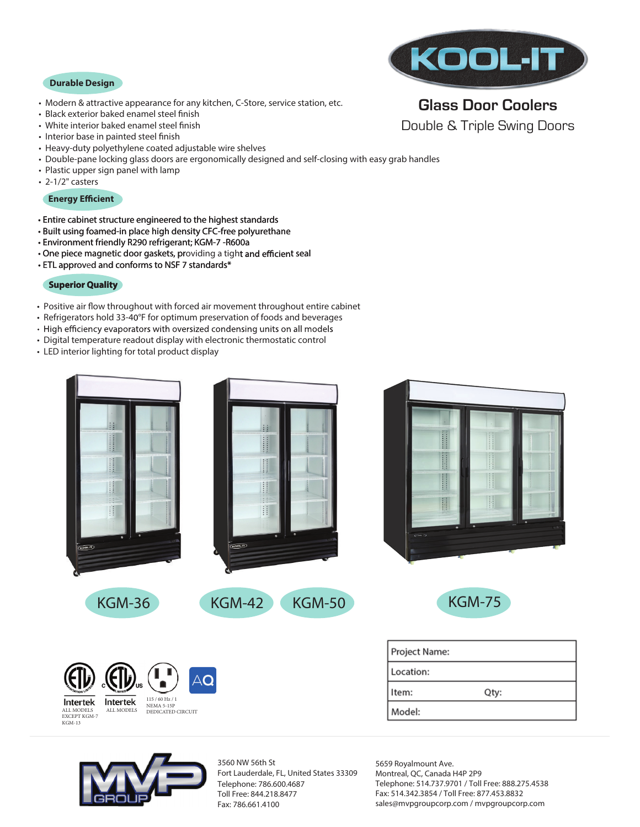#### **Durable Design**

- Modern & attractive appearance for any kitchen, C-Store, service station, etc.
- Black exterior baked enamel steel finish
- White interior baked enamel steel finish
- Interior base in painted steel finish
- Heavy-duty polyethylene coated adjustable wire shelves
- Double-pane locking glass doors are ergonomically designed and self-closing with easy grab handles
- Plastic upper sign panel with lamp
- 2-1/2" casters

### **Energy Efficient**

- Entire cabinet structure engineered to the highest standards
- Built using foamed-in place high density CFC-free polyurethane
- Environment friendly R290 refrigerant; KGM-7 -R600a
- One piece magnetic door gaskets, providing a tight and efficient seal
- ETL approved and conforms to NSF 7 standards\*

## **Superior Quality**

- Positive air flow throughout with forced air movement throughout entire cabinet
- Refrigerators hold 33-40°F for optimum preservation of foods and beverages<br>• High efficiency evaporators with oversized condensing units on all models
- 
- Digital temperature readout display with electronic thermostatic control
- LED interior lighting for total product display

| ij,<br>lii<br>!!!<br>I<br>I<br>I<br>$\ddot{\ddot{\cdot}}$<br>Ĥ<br>(KOOL-IT)<br>KOOLIT)  | H<br><b>Band</b><br>$\frac{1}{2}$<br>٠<br>$rac{1}{2}$ |  |  |  |
|-----------------------------------------------------------------------------------------|-------------------------------------------------------|--|--|--|
| <b>KGM-36</b><br><b>KGM-42</b><br><b>KGM-50</b>                                         | <b>KGM-75</b>                                         |  |  |  |
|                                                                                         | Project Name:                                         |  |  |  |
| AQ<br>V                                                                                 | Location:                                             |  |  |  |
| 115 / 60 Hz / 1<br>Intertek<br>Intertek                                                 | Qty:<br>Item:                                         |  |  |  |
| NEMA 5-15P<br>ALL MODELS<br>ALL MODELS<br>DEDICATED CIRCUIT<br>EXCEPT KGM-7<br>$KGM-13$ | Model:                                                |  |  |  |



3560 NW 56th St Fort Lauderdale, FL, United States 33309 Telephone: 786.600.4687 Toll Free: 844.218.8477 Fax: 786.661.4100

5659 Royalmount Ave. Montreal, QC, Canada H4P 2P9 Telephone: 514.737.9701 / Toll Free: 888.275.4538 Fax: 514.342.3854 / Toll Free: 877.453.8832 sales@mvpgroupcorp.com / mvpgroupcorp.com



## **Glass Door Coolers** Double & Triple Swing Doors